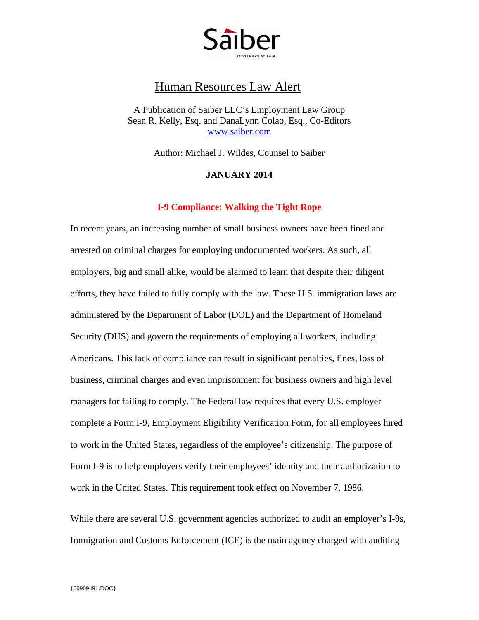

# Human Resources Law Alert

A Publication of Saiber LLC's Employment Law Group Sean R. Kelly, Esq. and DanaLynn Colao, Esq., Co-Editors [www.saiber.com](http://www.saiber.com/)

Author: Michael J. Wildes, Counsel to Saiber

#### **JANUARY 2014**

### **I-9 Compliance: Walking the Tight Rope**

In recent years, an increasing number of small business owners have been fined and arrested on criminal charges for employing undocumented workers. As such, all employers, big and small alike, would be alarmed to learn that despite their diligent efforts, they have failed to fully comply with the law. These U.S. immigration laws are administered by the Department of Labor (DOL) and the Department of Homeland Security (DHS) and govern the requirements of employing all workers, including Americans. This lack of compliance can result in significant penalties, fines, loss of business, criminal charges and even imprisonment for business owners and high level managers for failing to comply. The Federal law requires that every U.S. employer complete a Form I-9, Employment Eligibility Verification Form, for all employees hired to work in the United States, regardless of the employee's citizenship. The purpose of Form I-9 is to help employers verify their employees' identity and their authorization to work in the United States. This requirement took effect on November 7, 1986.

While there are several U.S. government agencies authorized to audit an employer's I-9s, Immigration and Customs Enforcement (ICE) is the main agency charged with auditing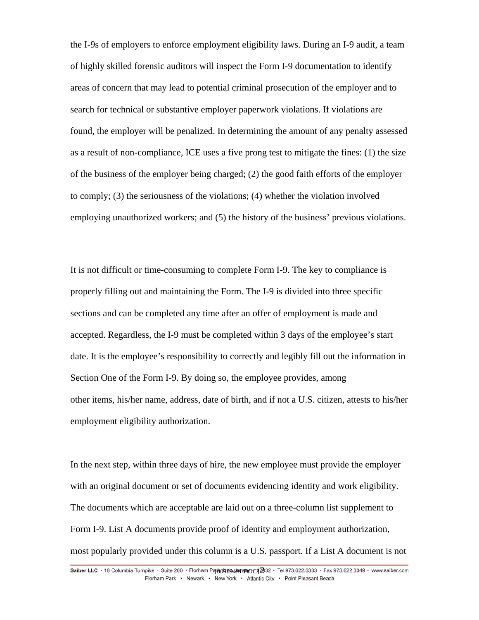the I-9s of employers to enforce employment eligibility laws. During an I-9 audit, a team of highly skilled forensic auditors will inspect the Form I-9 documentation to identify areas of concern that may lead to potential criminal prosecution of the employer and to search for technical or substantive employer paperwork violations. If violations are found, the employer will be penalized. In determining the amount of any penalty assessed as a result of non-compliance, ICE uses a five prong test to mitigate the fines: (1) the size of the business of the employer being charged; (2) the good faith efforts of the employer to comply; (3) the seriousness of the violations; (4) whether the violation involved employing unauthorized workers; and (5) the history of the business' previous violations.

It is not difficult or time-consuming to complete Form I-9. The key to compliance is properly filling out and maintaining the Form. The I-9 is divided into three specific sections and can be completed any time after an offer of employment is made and accepted. Regardless, the I-9 must be completed within 3 days of the employee's start date. It is the employee's responsibility to correctly and legibly fill out the information in Section One of the Form I-9. By doing so, the employee provides, among other items, his/her name, address, date of birth, and if not a U.S. citizen, attests to his/her employment eligibility authorization.

In the next step, within three days of hire, the new employee must provide the employer with an original document or set of documents evidencing identity and work eligibility. The documents which are acceptable are laid out on a three-column list supplement to Form I-9. List A documents provide proof of identity and employment authorization, most popularly provided under this column is a U.S. passport. If a List A document is not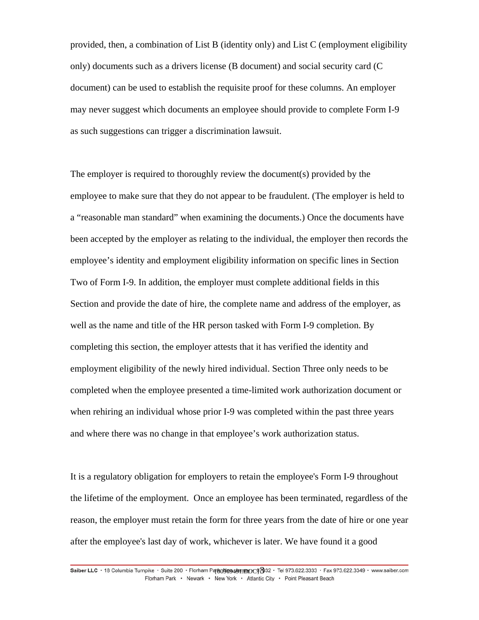provided, then, a combination of List B (identity only) and List C (employment eligibility only) documents such as a drivers license (B document) and social security card (C document) can be used to establish the requisite proof for these columns. An employer may never suggest which documents an employee should provide to complete Form I-9 as such suggestions can trigger a discrimination lawsuit.

The employer is required to thoroughly review the document(s) provided by the employee to make sure that they do not appear to be fraudulent. (The employer is held to a "reasonable man standard" when examining the documents.) Once the documents have been accepted by the employer as relating to the individual, the employer then records the employee's identity and employment eligibility information on specific lines in Section Two of Form I-9. In addition, the employer must complete additional fields in this Section and provide the date of hire, the complete name and address of the employer, as well as the name and title of the HR person tasked with Form I-9 completion. By completing this section, the employer attests that it has verified the identity and employment eligibility of the newly hired individual. Section Three only needs to be completed when the employee presented a time-limited work authorization document or when rehiring an individual whose prior I-9 was completed within the past three years and where there was no change in that employee's work authorization status.

It is a regulatory obligation for employers to retain the employee's Form I-9 throughout the lifetime of the employment. Once an employee has been terminated, regardless of the reason, the employer must retain the form for three years from the date of hire or one year after the employee's last day of work, whichever is later. We have found it a good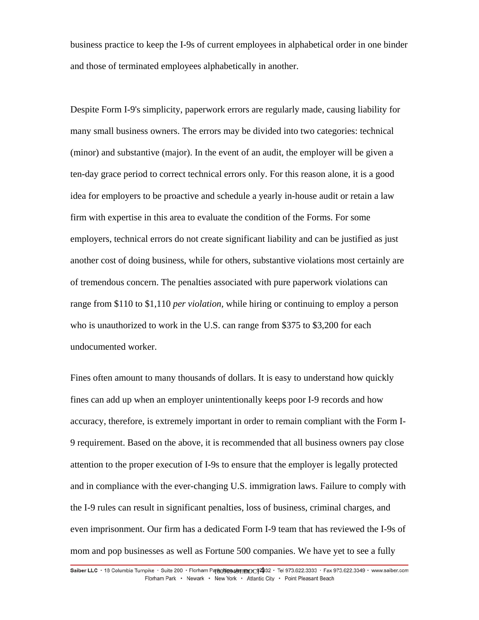business practice to keep the I-9s of current employees in alphabetical order in one binder and those of terminated employees alphabetically in another.

Despite Form I-9's simplicity, paperwork errors are regularly made, causing liability for many small business owners. The errors may be divided into two categories: technical (minor) and substantive (major). In the event of an audit, the employer will be given a ten-day grace period to correct technical errors only. For this reason alone, it is a good idea for employers to be proactive and schedule a yearly in-house audit or retain a law firm with expertise in this area to evaluate the condition of the Forms. For some employers, technical errors do not create significant liability and can be justified as just another cost of doing business, while for others, substantive violations most certainly are of tremendous concern. The penalties associated with pure paperwork violations can range from \$110 to \$1,110 *per violation,* while hiring or continuing to employ a person who is unauthorized to work in the U.S. can range from \$375 to \$3,200 for each undocumented worker.

Fines often amount to many thousands of dollars. It is easy to understand how quickly fines can add up when an employer unintentionally keeps poor I-9 records and how accuracy, therefore, is extremely important in order to remain compliant with the Form I-9 requirement. Based on the above, it is recommended that all business owners pay close attention to the proper execution of I-9s to ensure that the employer is legally protected and in compliance with the ever-changing U.S. immigration laws. Failure to comply with the I-9 rules can result in significant penalties, loss of business, criminal charges, and even imprisonment. Our firm has a dedicated Form I-9 team that has reviewed the I-9s of mom and pop businesses as well as Fortune 500 companies. We have yet to see a fully